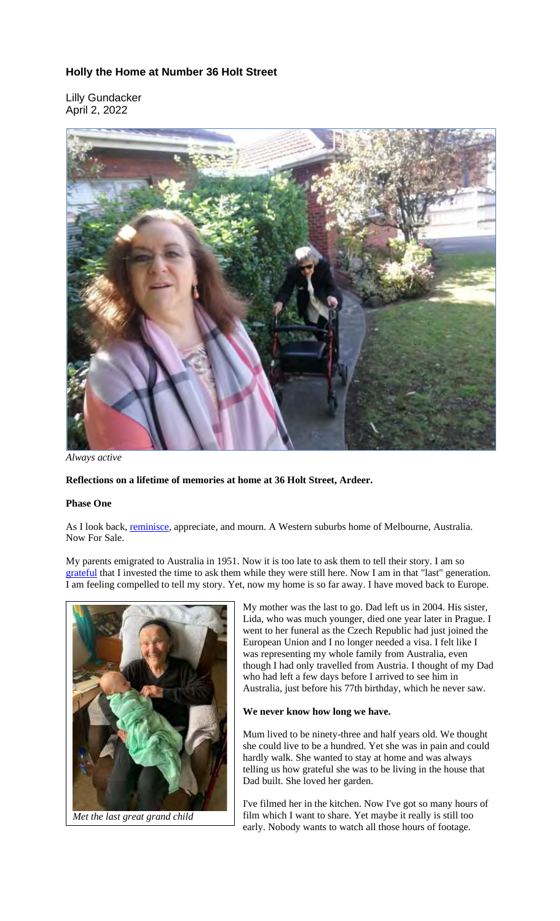## **Holly the Home at Number 36 Holt Street**

Lilly Gundacker April 2, 2022



*Always active*

## **Reflections on a lifetime of memories at home at 36 Holt Street, Ardeer.**

## **Phase One**

As I look back, reminisce, appreciate, and mourn. A Western suburbs home of Melbourne, Australia. Now For Sale.

My parents emigrated to Australia in 1951. Now it is too late to ask them to tell their story. I am so grateful that I invested the time to ask them while they were still here. Now I am in that "last" generation. I am feeling compelled to tell my story. Yet, now my home is so far away. I have moved back to Europe.



*Met the last great grand child*

My mother was the last to go. Dad left us in 2004. His sister, Lida, who was much younger, died one year later in Prague. I went to her funeral as the Czech Republic had just joined the European Union and I no longer needed a visa. I felt like I was representing my whole family from Australia, even though I had only travelled from Austria. I thought of my Dad who had left a few days before I arrived to see him in Australia, just before his 77th birthday, which he never saw.

## **We never know how long we have.**

Mum lived to be ninety-three and half years old. We thought she could live to be a hundred. Yet she was in pain and could hardly walk. She wanted to stay at home and was always telling us how grateful she was to be living in the house that Dad built. She loved her garden.

I've filmed her in the kitchen. Now I've got so many hours of film which I want to share. Yet maybe it really is still too early. Nobody wants to watch all those hours of footage.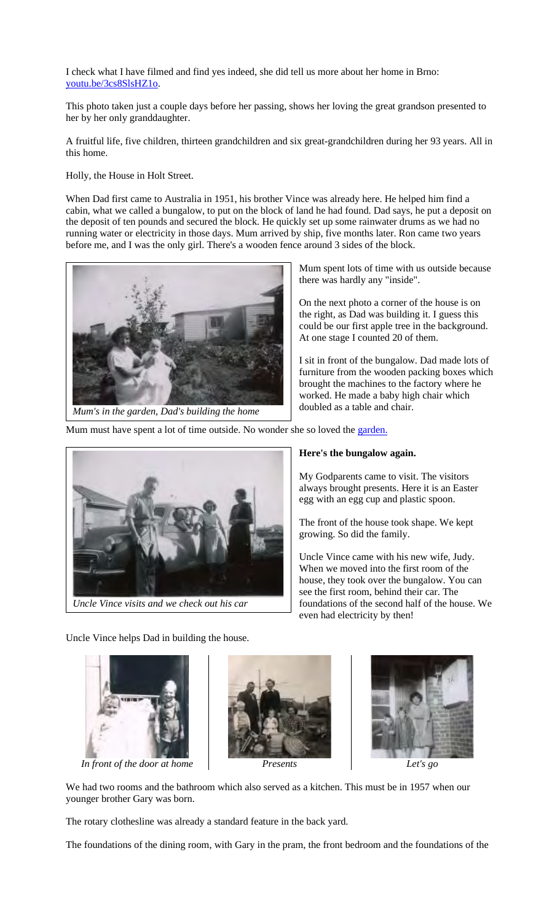I check what I have filmed and find yes indeed, she did tell us more about her home in Brno: youtu.be/3cs8SlsHZ1o.

This photo taken just a couple days before her passing, shows her loving the great grandson presented to her by her only granddaughter.

A fruitful life, five children, thirteen grandchildren and six great-grandchildren during her 93 years. All in this home.

Holly, the House in Holt Street.

When Dad first came to Australia in 1951, his brother Vince was already here. He helped him find a cabin, what we called a bungalow, to put on the block of land he had found. Dad says, he put a deposit on the deposit of ten pounds and secured the block. He quickly set up some rainwater drums as we had no running water or electricity in those days. Mum arrived by ship, five months later. Ron came two years before me, and I was the only girl. There's a wooden fence around 3 sides of the block.



Mum spent lots of time with us outside because there was hardly any "inside".

On the next photo a corner of the house is on the right, as Dad was building it. I guess this could be our first apple tree in the background. At one stage I counted 20 of them.

I sit in front of the bungalow. Dad made lots of furniture from the wooden packing boxes which brought the machines to the factory where he worked. He made a baby high chair which doubled as a table and chair.

Mum must have spent a lot of time outside. No wonder she so loved the garden.



**Here's the bungalow again.**

My Godparents came to visit. The visitors always brought presents. Here it is an Easter egg with an egg cup and plastic spoon.

The front of the house took shape. We kept growing. So did the family.

Uncle Vince came with his new wife, Judy. When we moved into the first room of the house, they took over the bungalow. You can see the first room, behind their car. The foundations of the second half of the house. We even had electricity by then!

Uncle Vince helps Dad in building the house.







We had two rooms and the bathroom which also served as a kitchen. This must be in 1957 when our younger brother Gary was born.

The rotary clothesline was already a standard feature in the back yard.

The foundations of the dining room, with Gary in the pram, the front bedroom and the foundations of the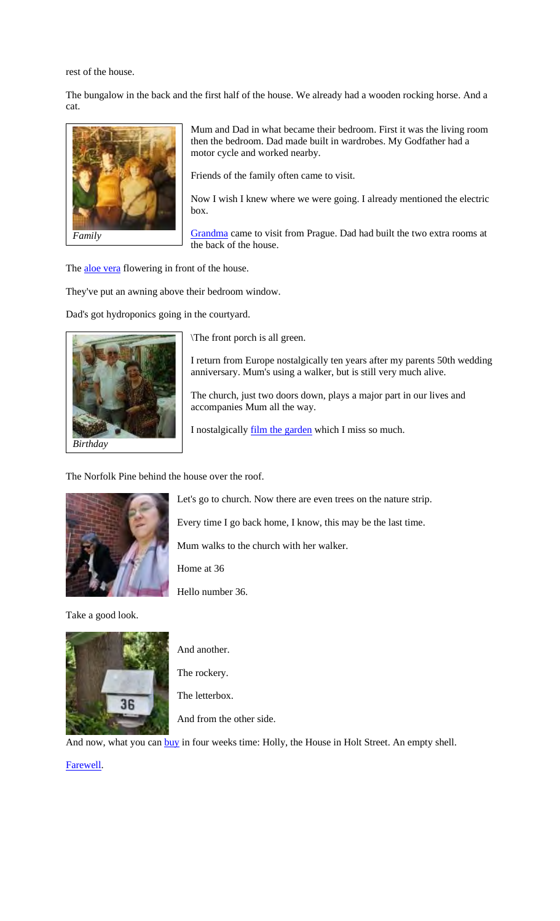rest of the house.

The bungalow in the back and the first half of the house. We already had a wooden rocking horse. And a cat.



*Family*

Mum and Dad in what became their bedroom. First it was the living room then the bedroom. Dad made built in wardrobes. My Godfather had a motor cycle and worked nearby.

Friends of the family often came to visit.

Now I wish I knew where we were going. I already mentioned the electric box.

Grandma came to visit from Prague. Dad had built the two extra rooms at the back of the house.

The aloe vera flowering in front of the house.

They've put an awning above their bedroom window.

Dad's got hydroponics going in the courtyard.



\The front porch is all green.

I return from Europe nostalgically ten years after my parents 50th wedding anniversary. Mum's using a walker, but is still very much alive.

The church, just two doors down, plays a major part in our lives and accompanies Mum all the way.

I nostalgically film the garden which I miss so much.

The Norfolk Pine behind the house over the roof.



Take a good look.



Let's go to church. Now there are even trees on the nature strip.

Every time I go back home, I know, this may be the last time.

Mum walks to the church with her walker.

Home at 36

Hello number 36.

And another. The rockery. The letterbox.

And from the other side.

And now, what you can buy in four weeks time: Holly, the House in Holt Street. An empty shell.

Farewell.